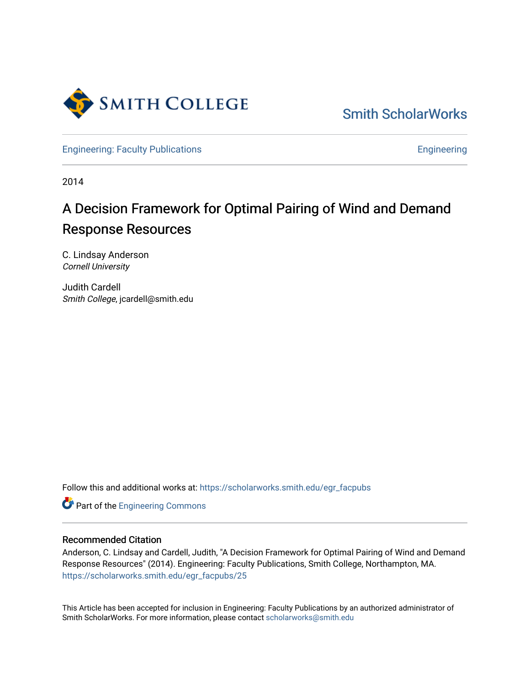

[Smith ScholarWorks](https://scholarworks.smith.edu/) 

[Engineering: Faculty Publications](https://scholarworks.smith.edu/egr_facpubs) **Engineering** 

2014

## A Decision Framework for Optimal Pairing of Wind and Demand Response Resources

C. Lindsay Anderson Cornell University

Judith Cardell Smith College, jcardell@smith.edu

Follow this and additional works at: [https://scholarworks.smith.edu/egr\\_facpubs](https://scholarworks.smith.edu/egr_facpubs?utm_source=scholarworks.smith.edu%2Fegr_facpubs%2F25&utm_medium=PDF&utm_campaign=PDFCoverPages) 

Part of the [Engineering Commons](http://network.bepress.com/hgg/discipline/217?utm_source=scholarworks.smith.edu%2Fegr_facpubs%2F25&utm_medium=PDF&utm_campaign=PDFCoverPages)

### Recommended Citation

Anderson, C. Lindsay and Cardell, Judith, "A Decision Framework for Optimal Pairing of Wind and Demand Response Resources" (2014). Engineering: Faculty Publications, Smith College, Northampton, MA. [https://scholarworks.smith.edu/egr\\_facpubs/25](https://scholarworks.smith.edu/egr_facpubs/25?utm_source=scholarworks.smith.edu%2Fegr_facpubs%2F25&utm_medium=PDF&utm_campaign=PDFCoverPages)

This Article has been accepted for inclusion in Engineering: Faculty Publications by an authorized administrator of Smith ScholarWorks. For more information, please contact [scholarworks@smith.edu](mailto:scholarworks@smith.edu)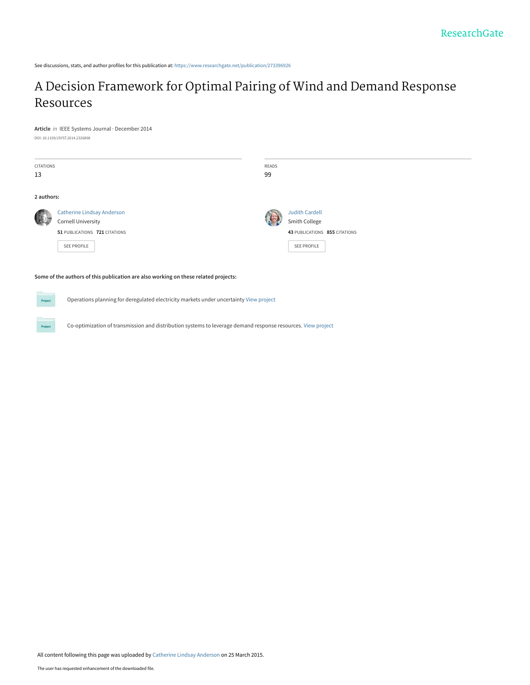See discussions, stats, and author profiles for this publication at: [https://www.researchgate.net/publication/273396926](https://www.researchgate.net/publication/273396926_A_Decision_Framework_for_Optimal_Pairing_of_Wind_and_Demand_Response_Resources?enrichId=rgreq-96ffd57284416d74a646725233ea611b-XXX&enrichSource=Y292ZXJQYWdlOzI3MzM5NjkyNjtBUzoyMTA5MjIzMDUwMDM1MjZAMTQyNzI5OTIwNDc3MQ%3D%3D&el=1_x_2&_esc=publicationCoverPdf)

### [A Decision Framework for Optimal Pairing of Wind and Demand Response](https://www.researchgate.net/publication/273396926_A_Decision_Framework_for_Optimal_Pairing_of_Wind_and_Demand_Response_Resources?enrichId=rgreq-96ffd57284416d74a646725233ea611b-XXX&enrichSource=Y292ZXJQYWdlOzI3MzM5NjkyNjtBUzoyMTA5MjIzMDUwMDM1MjZAMTQyNzI5OTIwNDc3MQ%3D%3D&el=1_x_3&_esc=publicationCoverPdf) Resources

**Article** in IEEE Systems Journal · December 2014

DOI: 10.1109/JSYST.2014.2326898

**Project** 

**Project** 

| <b>CITATIONS</b><br>13 |                                                                                                                | READS<br>99 |                                                                                               |  |
|------------------------|----------------------------------------------------------------------------------------------------------------|-------------|-----------------------------------------------------------------------------------------------|--|
| 2 authors:             |                                                                                                                |             |                                                                                               |  |
|                        | <b>Catherine Lindsay Anderson</b><br><b>Cornell University</b><br>51 PUBLICATIONS 721 CITATIONS<br>SEE PROFILE |             | <b>Judith Cardell</b><br>Smith College<br>43 PUBLICATIONS 855 CITATIONS<br><b>SEE PROFILE</b> |  |
|                        | Some of the authors of this publication are also working on these related projects:                            |             |                                                                                               |  |

Operations planning for deregulated electricity markets under uncertainty [View project](https://www.researchgate.net/project/Operations-planning-for-deregulated-electricity-markets-under-uncertainty?enrichId=rgreq-96ffd57284416d74a646725233ea611b-XXX&enrichSource=Y292ZXJQYWdlOzI3MzM5NjkyNjtBUzoyMTA5MjIzMDUwMDM1MjZAMTQyNzI5OTIwNDc3MQ%3D%3D&el=1_x_9&_esc=publicationCoverPdf)

Co-optimization of transmission and distribution systems to leverage demand response resources. [View project](https://www.researchgate.net/project/Co-optimization-of-transmission-and-distribution-systems-to-leverage-demand-response-resources?enrichId=rgreq-96ffd57284416d74a646725233ea611b-XXX&enrichSource=Y292ZXJQYWdlOzI3MzM5NjkyNjtBUzoyMTA5MjIzMDUwMDM1MjZAMTQyNzI5OTIwNDc3MQ%3D%3D&el=1_x_9&_esc=publicationCoverPdf)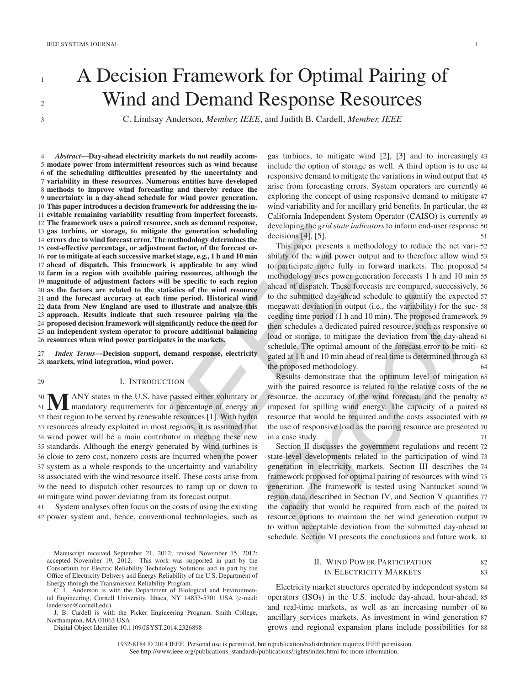# A Decision Framework for Optimal Pairing of Wind and Demand Response Resources <sup>1</sup><br><sup>2</sup> **C. Lindsay Anderson,** *Member, IEEE*, and Judith B. Cardell, *Member, IEEE*

 *Abstract***—Day-ahead electricity markets do not readily accom- modate power from intermittent resources such as wind because of the scheduling difficulties presented by the uncertainty and variability in these resources. Numerous entities have developed methods to improve wind forecasting and thereby reduce the uncertainty in a day-ahead schedule for wind power generation. This paper introduces a decision framework for addressing the in- evitable remaining variability resulting from imperfect forecasts. The framework uses a paired resource, such as demand response, gas turbine, or storage, to mitigate the generation scheduling errors due to wind forecast error. The methodology determines the cost-effective percentage, or adjustment factor, of the forecast er- ror to mitigate at each successive market stage, e.g., 1 h and 10 min ahead of dispatch. This framework is applicable to any wind farm in a region with available pairing resources, although the magnitude of adjustment factors will be specific to each region as the factors are related to the statistics of the wind resource and the forecast accuracy at each time period. Historical wind data from New England are used to illustrate and analyze this approach. Results indicate that such resource pairing via the proposed decision framework will significantly reduce the need for an independent system operator to procure additional balancing resources when wind power participates in the markets.**

27 *Index Terms***—Decision support, demand response, electricity** 28 **markets, wind integration, wind power.**

#### 29 I. INTRODUCTION

30 ANY states in the U.S. have passed either voluntary or **W** mandatory requirements for a percentage of energy in their region to be served by renewable resources [1]. With hydro resources already exploited in most regions, it is assumed that wind power will be a main contributor in meeting these new standards. Although the energy generated by wind turbines is close to zero cost, nonzero costs are incurred when the power system as a whole responds to the uncertainty and variability associated with the wind resource itself. These costs arise from the need to dispatch other resources to ramp up or down to mitigate wind power deviating from its forecast output.

41 System analyses often focus on the costs of using the existing 42 power system and, hence, conventional technologies, such as

C. L. Anderson is with the Department of Biological and Environmental Engineering, Cornell University, Ithaca, NY 14853-5701 USA (e-mail: landerson@cornell.edu).

J. B. Cardell is with the Picker Engineering Program, Smith College, Northampton, MA 01063 USA.

Digital Object Identifier 10.1109/JSYST.2014.2326898

gas turbines, to mitigate wind [2], [3] and to increasingly 43 include the option of storage as well. A third option is to use 44 responsive demand to mitigate the variations in wind output that 45 arise from forecasting errors. System operators are currently 46 exploring the concept of using responsive demand to mitigate 47 wind variability and for ancillary grid benefits. In particular, the 48 California Independent System Operator (CAISO) is currently 49 developing the *grid state indicators*to inform end-user response 50  $decisions [4], [5].$  51

**ICENT ANOTES (are designing** *Prid state* **indicators to inform end-use response the means that the prooff of the wind point of the wind point of the wind of the visible properties the properties of the significant of the s** This paper presents a methodology to reduce the net vari- 52 ability of the wind power output and to therefore allow wind 53 to participate more fully in forward markets. The proposed 54 methodology uses power generation forecasts 1 h and 10 min 55 ahead of dispatch. These forecasts are compared, successively, 56 to the submitted day-ahead schedule to quantify the expected 57 megawatt deviation in output (i.e., the variability) for the suc- 58 ceeding time period (1 h and 10 min). The proposed framework 59 then schedules a dedicated paired resource, such as responsive 60 load or storage, to mitigate the deviation from the day-ahead 61 schedule. The optimal amount of the forecast error to be miti- 62 gated at 1 h and 10 min ahead of real time is determined through 63 the proposed methodology. 64

Results demonstrate that the optimum level of mitigation 65 with the paired resource is related to the relative costs of the 66 resource, the accuracy of the wind forecast, and the penalty 67 imposed for spilling wind energy. The capacity of a paired 68 resource that would be required and the costs associated with 69 the use of responsive load as the pairing resource are presented 70 in a case study. 71

Section II discusses the government regulations and recent 72 state-level developments related to the participation of wind 73 generation in electricity markets. Section III describes the 74 framework proposed for optimal pairing of resources with wind 75 generation. The framework is tested using Nantucket sound 76 region data, described in Section IV, and Section V quantifies 77 the capacity that would be required from each of the paired 78 resource options to maintain the net wind generation output 79 to within acceptable deviation from the submitted day-ahead 80 schedule. Section VI presents the conclusions and future work. 81

#### II. WIND POWER PARTICIPATION 82 IN ELECTRICITY MARKETS 83

Electricity market structures operated by independent system 84 operators (ISOs) in the U.S. include day-ahead, hour-ahead, 85 and real-time markets, as well as an increasing number of 86 ancillary services markets. As investment in wind generation 87 grows and regional expansion plans include possibilities for 88

1932-8184 © 2014 IEEE. Personal use is permitted, but republication/redistribution requires IEEE permission. See http://www.ieee.org/publications\_standards/publications/rights/index.html for more information.

Manuscript received September 21, 2012; revised November 15, 2012; accepted November 19, 2012. This work was supported in part by the Consortium for Electric Reliability Technology Solutions and in part by the Office of Electricity Delivery and Energy Reliability of the U.S. Department of Energy through the Transmission Reliability Program.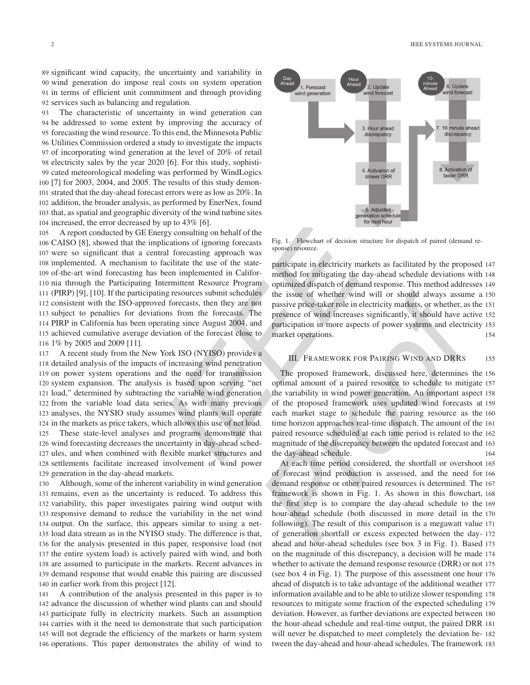significant wind capacity, the uncertainty and variability in wind generation do impose real costs on system operation in terms of efficient unit commitment and through providing services such as balancing and regulation.

 The characteristic of uncertainty in wind generation can be addressed to some extent by improving the accuracy of forecasting the wind resource. To this end, the Minnesota Public Utilities Commission ordered a study to investigate the impacts of incorporating wind generation at the level of 20% of retail electricity sales by the year 2020 [6]. For this study, sophisti- cated meteorological modeling was performed by WindLogics [7] for 2003, 2004, and 2005. The results of this study demon- strated that the day-ahead forecast errors were as low as 20%. In addition, the broader analysis, as performed by EnerNex, found that, as spatial and geographic diversity of the wind turbine sites increased, the error decreased by up to 43% [6].

 A report conducted by GE Energy consulting on behalf of the CAISO [8], showed that the implications of ignoring forecasts were so significant that a central forecasting approach was implemented. A mechanism to facilitate the use of the state- of-the-art wind forecasting has been implemented in Califor- nia through the Participating Intermittent Resource Program (PIRP) [9], [10]. If the participating resources submit schedules consistent with the ISO-approved forecasts, then they are not subject to penalties for deviations from the forecasts. The PIRP in California has been operating since August 2004, and achieved cumulative average deviation of the forecast close to 1% by 2005 and 2009 [11].

 A recent study from the New York ISO (NYISO) provides a detailed analysis of the impacts of increasing wind penetration on power system operations and the need for transmission system expansion. The analysis is based upon serving "net load," determined by subtracting the variable wind generation from the variable load data series. As with many previous analyses, the NYSIO study assumes wind plants will operate in the markets as price takers, which allows this use of net load. These state-level analyses and programs demonstrate that wind forecasting decreases the uncertainty in day-ahead sched- ules, and when combined with flexible market structures and settlements facilitate increased involvement of wind power generation in the day-ahead markets.

 Although, some of the inherent variability in wind generation remains, even as the uncertainty is reduced. To address this variability, this paper investigates pairing wind output with responsive demand to reduce the variability in the net wind output. On the surface, this appears similar to using a net- load data stream as in the NYISO study. The difference is that, for the analysis presented in this paper, responsive load (not the entire system load) is actively paired with wind, and both are assumed to participate in the markets. Recent advances in demand response that would enable this pairing are discussed in earlier work from this project [12].

 A contribution of the analysis presented in this paper is to advance the discussion of whether wind plants can and should participate fully in electricity markets. Such an assumption carries with it the need to demonstrate that such participation will not degrade the efficiency of the markets or harm system operations. This paper demonstrates the ability of wind to



Fig. 1. Flowchart of decision structure for dispatch of paired (demand response) resource.

participate in electricity markets as facilitated by the proposed 147 method for mitigating the day-ahead schedule deviations with 148 optimized dispatch of demand response. This method addresses 149 the issue of whether wind will or should always assume a 150 passive price-taker role in electricity markets, or whether, as the 151 presence of wind increases significantly, it should have active 152 participation in more aspects of power systems and electricity 153 market operations. 154

#### III. FRAMEWORK FOR PAIRING WIND AND DRRS 155

*IF* (*D* 437% [0].<br> *IF* (*D* and the formulation of general formulation of given and to reacting approach was spended providents and formulation of given and forcessing approach was spended provided for mitigating the da The proposed framework, discussed here, determines the 156 optimal amount of a paired resource to schedule to mitigate 157 the variability in wind power generation. An important aspect 158 of the proposed framework uses updated wind forecasts at 159 each market stage to schedule the pairing resource as the 160 time horizon approaches real-time dispatch. The amount of the 161 paired resource scheduled at each time period is related to the 162 magnitude of the discrepancy between the updated forecast and 163 the day-ahead schedule. 164

At each time period considered, the shortfall or overshoot 165 of forecast wind production is assessed, and the need for 166 demand response or other paired resources is determined. The 167 framework is shown in Fig. 1. As shown in this flowchart, 168 the first step is to compare the day-ahead schedule to the 169 hour-ahead schedule (both discussed in more detail in the 170 following). The result of this comparison is a megawatt value 171 of generation shortfall or excess expected between the day- 172 ahead and hour-ahead schedules (see box 3 in Fig. 1). Based 173 on the magnitude of this discrepancy, a decision will be made 174 whether to activate the demand response resource (DRR) or not 175 (see box 4 in Fig. 1). The purpose of this assessment one hour 176 ahead of dispatch is to take advantage of the additional weather 177 information available and to be able to utilize slower responding 178 resources to mitigate some fraction of the expected scheduling 179 deviation. However, as further deviations are expected between 180 the hour-ahead schedule and real-time output, the paired DRR 181 will never be dispatched to meet completely the deviation be- 182 tween the day-ahead and hour-ahead schedules. The framework 183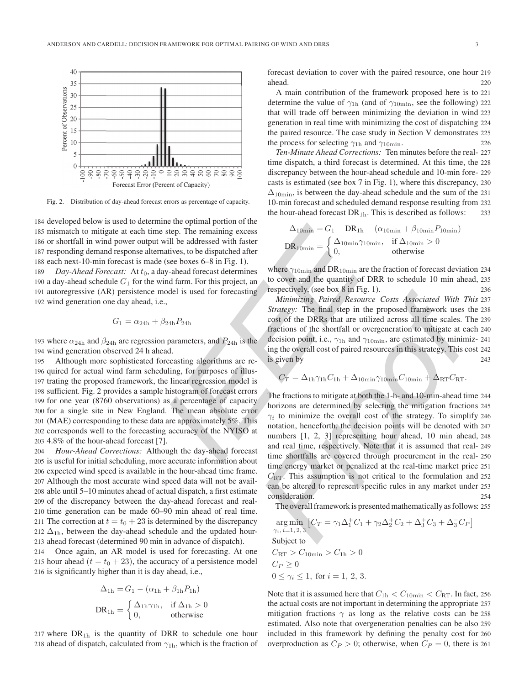

Fig. 2. Distribution of day-ahead forecast errors as percentage of capacity.

 developed below is used to determine the optimal portion of the mismatch to mitigate at each time step. The remaining excess or shortfall in wind power output will be addressed with faster responding demand response alternatives, to be dispatched after each next-10-min forecast is made (see boxes 6–8 in Fig. 1).

 *Day-Ahead Forecast:* At t <sup>0</sup>, a day-ahead forecast determines 190 a day-ahead schedule  $G_1$  for the wind farm. For this project, an autoregressive (AR) persistence model is used for forecasting wind generation one day ahead, i.e.,

$$
G_1 = \alpha_{24h} + \beta_{24h} P_{24h}
$$

193 where  $\alpha_{24h}$  and  $\beta_{24h}$  are regression parameters, and  $P_{24h}$  is the 194 wind generation observed 24 h ahead.

 Although more sophisticated forecasting algorithms are re- quired for actual wind farm scheduling, for purposes of illus- trating the proposed framework, the linear regression model is sufficient. Fig. 2 provides a sample histogram of forecast errors for one year (8760 observations) as a percentage of capacity for a single site in New England. The mean absolute error (MAE) corresponding to these data are approximately 5%. This corresponds well to the forecasting accuracy of the NYISO at 4.8% of the hour-ahead forecast [7].

 *Hour-Ahead Corrections:* Although the day-ahead forecast is useful for initial scheduling, more accurate information about expected wind speed is available in the hour-ahead time frame. Although the most accurate wind speed data will not be avail- able until 5–10 minutes ahead of actual dispatch, a first estimate of the discrepancy between the day-ahead forecast and real- time generation can be made 60–90 min ahead of real time. 211 The correction at  $t = t_0 + 23$  is determined by the discrepancy  $\Delta_{1h}$ , between the day-ahead schedule and the updated hour-ahead forecast (determined 90 min in advance of dispatch).

214 Once again, an AR model is used for forecasting. At one 215 hour ahead  $(t = t_0 + 23)$ , the accuracy of a persistence model 216 is significantly higher than it is day ahead, i.e.,

$$
\Delta_{1h} = G_1 - (\alpha_{1h} + \beta_{1h}P_{1h})
$$
  
DR<sub>1h</sub> = 
$$
\begin{cases} \Delta_{1h}\gamma_{1h}, & \text{if } \Delta_{1h} > 0\\ 0, & \text{otherwise} \end{cases}
$$

217 where  $DR<sub>1h</sub>$  is the quantity of DRR to schedule one hour 218 ahead of dispatch, calculated from  $\gamma_{1h}$ , which is the fraction of forecast deviation to cover with the paired resource, one hour 219 ahead. 220

A main contribution of the framework proposed here is to 221 determine the value of  $\gamma_{1h}$  (and of  $\gamma_{10\text{min}}$ , see the following) 222 that will trade off between minimizing the deviation in wind 223 generation in real time with minimizing the cost of dispatching 224 the paired resource. The case study in Section V demonstrates 225 the process for selecting  $\gamma_{1h}$  and  $\gamma_{10\text{min}}$ . 226

*Ten-Minute Ahead Corrections:* Ten minutes before the real- 227 time dispatch, a third forecast is determined. At this time, the 228 discrepancy between the hour-ahead schedule and 10-min fore- 229 casts is estimated (see box 7 in Fig. 1), where this discrepancy, 230  $\Delta_{10\text{min}}$ , is between the day-ahead schedule and the sum of the 231 10-min forecast and scheduled demand response resulting from 232 the hour-ahead forecast  $DR<sub>1h</sub>$ . This is described as follows: 233

$$
\Delta_{10\text{min}} = G_1 - \text{DR}_{1h} - (\alpha_{10\text{min}} + \beta_{10\text{min}} P_{10\text{min}})
$$
  

$$
\text{DR}_{10\text{min}} = \begin{cases} \Delta_{10\text{min}} \gamma_{10\text{min}}, & \text{if } \Delta_{10\text{min}} > 0\\ 0, & \text{otherwise} \end{cases}
$$

where  $\gamma_{10\text{min}}$  and DR<sub>10min</sub> are the fraction of forecast deviation 234 to cover and the quantity of DRR to schedule 10 min ahead, 235 respectively, (see box 8 in Fig. 1). 236

*Minimizing Paired Resource Costs Associated With This* 237 *Strategy:* The final step in the proposed framework uses the 238 cost of the DRRs that are utilized across all time scales. The 239 fractions of the shortfall or overgeneration to mitigate at each 240 decision point, i.e.,  $\gamma_{1h}$  and  $\gamma_{10\text{min}}$ , are estimated by minimiz- 241 ing the overall cost of paired resources in this strategy. This cost 242 is given by 243

$$
C_T = \Delta_{1h}\gamma_{1h}C_{1h} + \Delta_{10\text{min}}\gamma_{10\text{min}}C_{10\text{min}} + \Delta_{RT}C_{RT}.
$$

*I*EE and Bod and Formation To the Galacteria of the Sigman Point is easily with the add at the signal particle set with the signal particle set of the BR bomin =  $\begin{cases} \Delta_{10\text{min}}\gamma_{10\text{min}}P_{10\text{min}}=0\\ 0,0\text{ otherwise, to be displaced after} \end{cases}$ The fractions to mitigate at both the 1-h- and 10-min-ahead time 244 horizons are determined by selecting the mitigation fractions 245  $\gamma_i$  to minimize the overall cost of the strategy. To simplify 246 notation, henceforth, the decision points will be denoted with 247 numbers [1, 2, 3] representing hour ahead, 10 min ahead, 248 and real time, respectively. Note that it is assumed that real- 249 time shortfalls are covered through procurement in the real- 250 time energy market or penalized at the real-time market price 251  $C_{\rm RT}$ . This assumption is not critical to the formulation and 252 can be altered to represent specific rules in any market under 253 consideration. 254

The overall framework is presented mathematically as follows: 255

$$
\underset{\gamma_i, i=1,2,3}{\arg \min} \left[ C_T = \gamma_1 \Delta_1^+ C_1 + \gamma_2 \Delta_2^+ C_2 + \Delta_3^+ C_3 + \Delta_3^- C_P \right]
$$
\n
$$
\text{Subject to}
$$
\n
$$
C_{\text{RT}} > C_{10\text{min}} > C_{1\text{h}} > 0
$$
\n
$$
C_P \ge 0
$$
\n
$$
0 \le \gamma_i \le 1, \text{ for } i = 1, 2, 3.
$$

Note that it is assumed here that  $C_{1h} < C_{10min} < C_{RT}$ . In fact, 256 the actual costs are not important in determining the appropriate 257 mitigation fractions  $\gamma$  as long as the relative costs can be 258 estimated. Also note that overgeneration penalties can be also 259 included in this framework by defining the penalty cost for 260 overproduction as  $C_P > 0$ ; otherwise, when  $C_P = 0$ , there is 261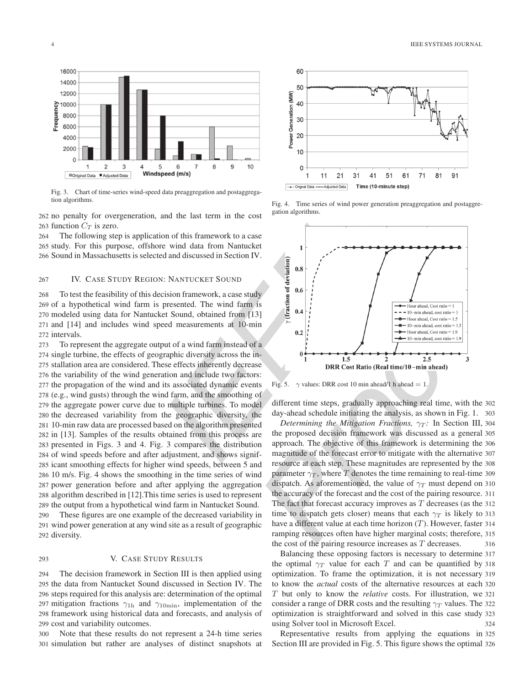

Fig. 3. Chart of time-series wind-speed data preaggregation and postaggregation algorithms.

262 no penalty for overgeneration, and the last term in the cost 263 function  $C_T$  is zero.

264 The following step is application of this framework to a case 265 study. For this purpose, offshore wind data from Nantucket 266 Sound in Massachusetts is selected and discussed in Section IV.

#### 267 IV. CASE STUDY REGION: NANTUCKET SOUND

 To test the feasibility of this decision framework, a case study of a hypothetical wind farm is presented. The wind farm is modeled using data for Nantucket Sound, obtained from [13] and [14] and includes wind speed measurements at 10-min intervals.

 To represent the aggregate output of a wind farm instead of a single turbine, the effects of geographic diversity across the in- stallation area are considered. These effects inherently decrease the variability of the wind generation and include two factors: the propagation of the wind and its associated dynamic events (e.g., wind gusts) through the wind farm, and the smoothing of the aggregate power curve due to multiple turbines. To model the decreased variability from the geographic diversity, the 10-min raw data are processed based on the algorithm presented in [13]. Samples of the results obtained from this process are presented in Figs. 3 and 4. Fig. 3 compares the distribution of wind speeds before and after adjustment, and shows signif- icant smoothing effects for higher wind speeds, between 5 and 10 m/s. Fig. 4 shows the smoothing in the time series of wind power generation before and after applying the aggregation algorithm described in [12].This time series is used to represent the output from a hypothetical wind farm in Nantucket Sound. These figures are one example of the decreased variability in wind power generation at any wind site as a result of geographic

292 diversity.

#### 293 V. CASE STUDY RESULTS

 The decision framework in Section III is then applied using the data from Nantucket Sound discussed in Section IV. The steps required for this analysis are: determination of the optimal 297 mitigation fractions  $\gamma_{1h}$  and  $\gamma_{10\text{min}}$ , implementation of the framework using historical data and forecasts, and analysis of cost and variability outcomes.

300 Note that these results do not represent a 24-h time series 301 simulation but rather are analyses of distinct snapshots at



Fig. 4. Time series of wind power generation preaggregation and postaggregation algorithms.



Fig. 5.  $\gamma$  values: DRR cost 10 min ahead/1 h ahead = 1.

different time steps, gradually approaching real time, with the 302 day-ahead schedule initiating the analysis, as shown in Fig. 1. 303

*Determining the Mitigation Fractions,*  $\gamma_T$ : In Section III, 304 the proposed decision framework was discussed as a general 305 approach. The objective of this framework is determining the 306 magnitude of the forecast error to mitigate with the alternative 307 resource at each step. These magnitudes are represented by the 308 parameter  $\gamma_T$ , where T denotes the time remaining to real-time 309 dispatch. As aforementioned, the value of  $\gamma_T$  must depend on 310 the accuracy of the forecast and the cost of the pairing resource. 311 The fact that forecast accuracy improves as  $T$  decreases (as the 312 time to dispatch gets closer) means that each  $\gamma_T$  is likely to 313 have a different value at each time horizon  $(T)$ . However, faster 314 ramping resources often have higher marginal costs; therefore, 315 the cost of the pairing resource increases as T decreases. 316

Balancing these opposing factors is necessary to determine 317 the optimal  $\gamma_T$  value for each T and can be quantified by 318 optimization. To frame the optimization, it is not necessary 319 to know the *actual* costs of the alternative resources at each 320 T but only to know the *relative* costs. For illustration, we 321 consider a range of DRR costs and the resulting  $\gamma_T$  values. The 322 optimization is straightforward and solved in this case study 323 using Solver tool in Microsoft Excel. 324

Representative results from applying the equations in 325 Section III are provided in Fig. 5. This figure shows the optimal 326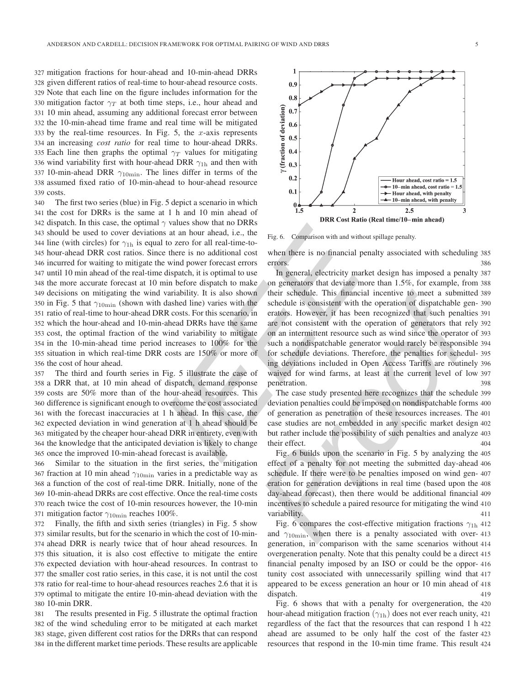327 mitigation fractions for hour-ahead and 10-min-ahead DRRs 328 given different ratios of real-time to hour-ahead resource costs. 329 Note that each line on the figure includes information for the 330 mitigation factor  $\gamma_T$  at both time steps, i.e., hour ahead and 331 10 min ahead, assuming any additional forecast error between 332 the 10-min-ahead time frame and real time will be mitigated 333 by the real-time resources. In Fig.  $5$ , the  $x$ -axis represents 334 an increasing *cost ratio* for real time to hour-ahead DRRs. 335 Each line then graphs the optimal  $\gamma_T$  values for mitigating 336 wind variability first with hour-ahead DRR  $\gamma_{1h}$  and then with 337 10-min-ahead DRR  $\gamma_{10\text{min}}$ . The lines differ in terms of the 338 assumed fixed ratio of 10-min-ahead to hour-ahead resource 339 costs.

 The first two series (blue) in Fig. 5 depict a scenario in which the cost for DRRs is the same at 1 h and 10 min ahead of 342 dispatch. In this case, the optimal  $\gamma$  values show that no DRRs should be used to cover deviations at an hour ahead, i.e., the 344 line (with circles) for  $\gamma_{1h}$  is equal to zero for all real-time-to- hour-ahead DRR cost ratios. Since there is no additional cost incurred for waiting to mitigate the wind power forecast errors until 10 min ahead of the real-time dispatch, it is optimal to use the more accurate forecast at 10 min before dispatch to make decisions on mitigating the wind variability. It is also shown 350 in Fig. 5 that  $\gamma_{10\text{min}}$  (shown with dashed line) varies with the ratio of real-time to hour-ahead DRR costs. For this scenario, in which the hour-ahead and 10-min-ahead DRRs have the same cost, the optimal fraction of the wind variability to mitigate in the 10-min-ahead time period increases to 100% for the situation in which real-time DRR costs are 150% or more of the cost of hour ahead.

 The third and fourth series in Fig. 5 illustrate the case of a DRR that, at 10 min ahead of dispatch, demand response costs are 50% more than of the hour-ahead resources. This difference is significant enough to overcome the cost associated with the forecast inaccuracies at 1 h ahead. In this case, the expected deviation in wind generation at 1 h ahead should be mitigated by the cheaper hour-ahead DRR in entirety, even with the knowledge that the anticipated deviation is likely to change once the improved 10-min-ahead forecast is available.

 Similar to the situation in the first series, the mitigation 367 fraction at 10 min ahead  $\gamma_{10\text{min}}$  varies in a predictable way as a function of the cost of real-time DRR. Initially, none of the 10-min-ahead DRRs are cost effective. Once the real-time costs reach twice the cost of 10-min resources however, the 10-min 371 mitigation factor  $\gamma_{10\text{min}}$  reaches 100%.

 Finally, the fifth and sixth series (triangles) in Fig. 5 show similar results, but for the scenario in which the cost of 10-min- ahead DRR is nearly twice that of hour ahead resources. In this situation, it is also cost effective to mitigate the entire expected deviation with hour-ahead resources. In contrast to the smaller cost ratio series, in this case, it is not until the cost ratio for real-time to hour-ahead resources reaches 2.6 that it is optimal to mitigate the entire 10-min-ahead deviation with the 10-min DRR.

 The results presented in Fig. 5 illustrate the optimal fraction of the wind scheduling error to be mitigated at each market stage, given different cost ratios for the DRRs that can respond in the different market time periods. These results are applicable

Fig. 6. Comparison with and without spillage penalty.

when there is no financial penalty associated with scheduling 385 errors. 386

*T* varias sint on DIRKs.<br>
The Top Line of the comparison with and without spillage peality<br>
at a a nour ahead, i.e., the<br>
to zero for all real-time-to-<br>
it to zero for all real-time-to-<br>
it certic is no diditional cost<br>
w In general, electricity market design has imposed a penalty 387 on generators that deviate more than 1.5%, for example, from 388 their schedule. This financial incentive to meet a submitted 389 schedule is consistent with the operation of dispatchable gen- 390 erators. However, it has been recognized that such penalties 391 are not consistent with the operation of generators that rely 392 on an intermittent resource such as wind since the operator of 393 such a nondispatchable generator would rarely be responsible 394 for schedule deviations. Therefore, the penalties for schedul- 395 ing deviations included in Open Access Tariffs are routinely 396 waived for wind farms, at least at the current level of low 397 penetration. 398

The case study presented here recognizes that the schedule 399 deviation penalties could be imposed on nondispatchable forms 400 of generation as penetration of these resources increases. The 401 case studies are not embedded in any specific market design 402 but rather include the possibility of such penalties and analyze 403 their effect. 404

Fig. 6 builds upon the scenario in Fig. 5 by analyzing the 405 effect of a penalty for not meeting the submitted day-ahead 406 schedule. If there were to be penalties imposed on wind gen- 407 eration for generation deviations in real time (based upon the 408 day-ahead forecast), then there would be additional financial 409 incentives to schedule a paired resource for mitigating the wind 410 variability. 411

Fig. 6 compares the cost-effective mitigation fractions  $\gamma_{1h}$  412 and  $\gamma_{10\text{min}}$ , when there is a penalty associated with over-413 generation, in comparison with the same scenarios without 414 overgeneration penalty. Note that this penalty could be a direct 415 financial penalty imposed by an ISO or could be the oppor- 416 tunity cost associated with unnecessarily spilling wind that 417 appeared to be excess generation an hour or 10 min ahead of 418 dispatch. 419

Fig. 6 shows that with a penalty for overgeneration, the 420 hour-ahead mitigation fraction  $(\gamma_{1h})$  does not ever reach unity, 421 regardless of the fact that the resources that can respond 1 h 422 ahead are assumed to be only half the cost of the faster 423 resources that respond in the 10-min time frame. This result 424

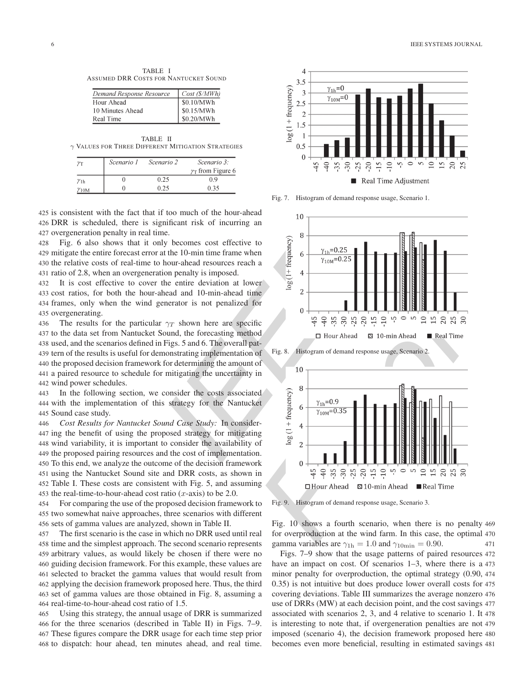TABLE I ASSUMED DRR COSTS FOR NANTUCKET SOUND

| Demand Response Resource | $\vert \text{Cost } (\$/MWh)$ |
|--------------------------|-------------------------------|
| Hour Ahead               | $\frac{1}{2}$ \$0.10/MWh      |
| 10 Minutes Ahead         | $\frac{1}{2}$ \$0.15/MWh      |
| Real Time                | $\frac{1}{2}$ \$0.20/MWh      |

TABLE II  $\gamma$  Values for Three Different Mitigation Strategies

| $\gamma$ T    | Scenario 1 | Scenario 2 | Scenario 3:                         |
|---------------|------------|------------|-------------------------------------|
|               |            |            | $\gamma$ <sub>T</sub> from Figure 6 |
| $\gamma_{1h}$ |            | 0.25       | 09                                  |
| 10M           |            | 0.25       | 0.35                                |

 is consistent with the fact that if too much of the hour-ahead DRR is scheduled, there is significant risk of incurring an overgeneration penalty in real time.

 Fig. 6 also shows that it only becomes cost effective to mitigate the entire forecast error at the 10-min time frame when the relative costs of real-time to hour-ahead resources reach a ratio of 2.8, when an overgeneration penalty is imposed.

 It is cost effective to cover the entire deviation at lower cost ratios, for both the hour-ahead and 10-min-ahead time frames, only when the wind generator is not penalized for overgenerating.

436 The results for the particular  $\gamma_T$  shown here are specific to the data set from Nantucket Sound, the forecasting method used, and the scenarios defined in Figs. 5 and 6. The overall pat- tern of the results is useful for demonstrating implementation of the proposed decision framework for determining the amount of a paired resource to schedule for mitigating the uncertainty in wind power schedules.

 In the following section, we consider the costs associated with the implementation of this strategy for the Nantucket Sound case study.

 *Cost Results for Nantucket Sound Case Study:* In consider- ing the benefit of using the proposed strategy for mitigating wind variability, it is important to consider the availability of the proposed pairing resources and the cost of implementation. To this end, we analyze the outcome of the decision framework using the Nantucket Sound site and DRR costs, as shown in Table I. These costs are consistent with Fig. 5, and assuming 453 the real-time-to-hour-ahead cost ratio  $(x$ -axis) to be 2.0.

 For comparing the use of the proposed decision framework to two somewhat naive approaches, three scenarios with different sets of gamma values are analyzed, shown in Table II.

 The first scenario is the case in which no DRR used until real time and the simplest approach. The second scenario represents arbitrary values, as would likely be chosen if there were no guiding decision framework. For this example, these values are selected to bracket the gamma values that would result from applying the decision framework proposed here. Thus, the third set of gamma values are those obtained in Fig. 8, assuming a real-time-to-hour-ahead cost ratio of 1.5.

 Using this strategy, the annual usage of DRR is summarized for the three scenarios (described in Table II) in Figs. 7–9. These figures compare the DRR usage for each time step prior to dispatch: hour ahead, ten minutes ahead, and real time.



Fig. 7. Histogram of demand response usage, Scenario 1.



Fig. 8. Histogram of demand response usage, Scenario 2.



Fig. 9. Histogram of demand response usage, Scenario 3.

Fig. 10 shows a fourth scenario, when there is no penalty 469 for overproduction at the wind farm. In this case, the optimal 470 gamma variables are  $\gamma_{1h} = 1.0$  and  $\gamma_{10min} = 0.90$ . 471

Figs. 7–9 show that the usage patterns of paired resources 472 have an impact on cost. Of scenarios 1–3, where there is a 473 minor penalty for overproduction, the optimal strategy (0.90, 474 0.35) is not intuitive but does produce lower overall costs for 475 covering deviations. Table III summarizes the average nonzero 476 use of DRRs (MW) at each decision point, and the cost savings 477 associated with scenarios 2, 3, and 4 relative to scenario 1. It 478 is interesting to note that, if overgeneration penalties are not 479 imposed (scenario 4), the decision framework proposed here 480 becomes even more beneficial, resulting in estimated savings 481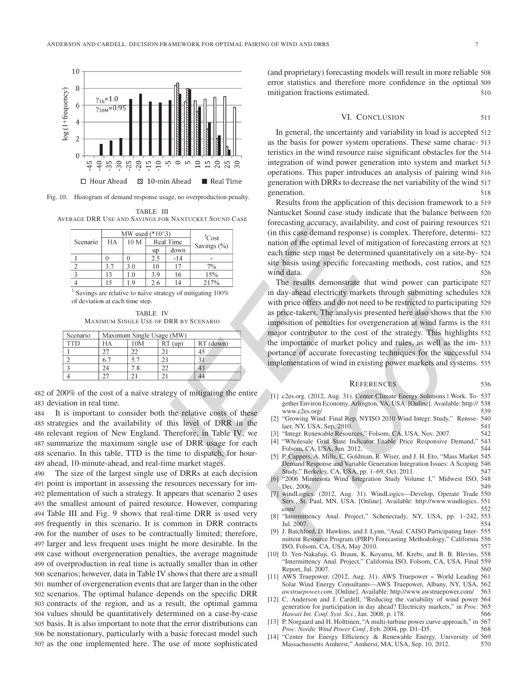

Fig. 10. Histogram of demand response usage, no overproduction penalty.

TABLE III AVERAGE DRR USE AND SAVINGS FOR NANTUCKET SOUND CASE

|          | MW used $(*10^3)$ |                 |           |       | ${}^{1}$ Cost            |  |
|----------|-------------------|-----------------|-----------|-------|--------------------------|--|
| Scenario | HA                | 10 <sub>M</sub> | Real Time |       | Savings $(\% )$          |  |
|          |                   |                 | up        | down  |                          |  |
|          |                   |                 | 2.5       | $-14$ | $\overline{\phantom{a}}$ |  |
|          | 3.7               | 3.0             | 10        | 17    | 7%                       |  |
|          | 13                | 1.0             | 3.9       | 16    | 15%                      |  |
|          |                   |                 | 2.6       | 14    | 217%                     |  |

of deviation at each time step.

TABLE IV MAXIMUM SINGLE USE OF DRR BY SCENARIO

| Scenario | Maximum Single Usage (MW) |     |          |           |  |
|----------|---------------------------|-----|----------|-----------|--|
|          |                           | 10M | $(u\nu)$ | RT (down) |  |
|          |                           |     |          |           |  |
|          |                           |     |          |           |  |
|          |                           |     |          | 43        |  |
|          |                           |     |          |           |  |

482 of 200% of the cost of a naïve strategy of mitigating the entire 483 deviation in real time.

 It is important to consider both the relative costs of these strategies and the availability of this level of DRR in the relevant region of New England. Therefore, in Table IV, we summarize the maximum single use of DRR usage for each scenario. In this table, TTD is the time to dispatch, for hour-ahead, 10-minute-ahead, and real-time market stages.

 The size of the largest single use of DRRs at each decision point is important in assessing the resources necessary for im- plementation of such a strategy. It appears that scenario 2 uses the smallest amount of paired resource. However, comparing Table III and Fig. 9 shows that real-time DRR is used very frequently in this scenario. It is common in DRR contracts for the number of uses to be contractually limited; therefore, larger and less frequent uses might be more desirable. In the case without overgeneration penalties, the average magnitude of overproduction in real time is actually smaller than in other scenarios; however, data in Table IV shows that there are a small number of overgeneration events that are larger than in the other scenarios. The optimal balance depends on the specific DRR contracts of the region, and as a result, the optimal gamma values should be quantitatively determined on a case-by-case basis. It is also important to note that the error distributions can be nonstationary, particularly with a basic forecast model such as the one implemented here. The use of more sophisticated

(and proprietary) forecasting models will result in more reliable 508 error statistics and therefore more confidence in the optimal 509 mitigation fractions estimated. 510

VI. CONCLUSION 511

In general, the uncertainty and variability in load is accepted 512 as the basis for power system operations. These same charac- 513 teristics in the wind resource raise significant obstacles for the 514 integration of wind power generation into system and market 515 operations. This paper introduces an analysis of pairing wind 516 generation with DRRs to decrease the net variability of the wind 517 generation. 518

Results from the application of this decision framework to a 519 Nantucket Sound case study indicate that the balance between 520 forecasting accuracy, availability, and cost of pairing resources 521 (in this case demand response) is complex. Therefore, determi- 522 nation of the optimal level of mitigation of forecasting errors at 523 each time step must be determined quantitatively on a site-by- 524 site basis using specific forecasting methods, cost ratios, and 525 wind data. 526

**IFFIEND (1997)**<br> **IFFIEND (1997)** (in this case demand response) is complex. Therefore, determined a<br> **IFFIEND** Savings (%)<br> **IFFIEND** and the optimal level of miliation of forecasting errors<br> **IFFIEND** and the optimal l The results demonstrate that wind power can participate 527 in day-ahead electricity markets through submitting schedules 528 with price offers and do not need to be restricted to participating 529 as price-takers. The analysis presented here also shows that the 530 imposition of penalties for overgeneration at wind farms is the 531 major contributor to the cost of the strategy. This highlights 532 the importance of market policy and rules, as well as the im- 533 portance of accurate forecasting techniques for the successful 534 implementation of wind in existing power markets and systems. 535

$$
REFERENCES \hspace{2.5cm} 536
$$

- [1] c2es.org. (2012, Aug. 31). Center Climate Energy Solutions | Work. To- 537 gether Environ Economy, Arlington, VA, USA. [Online]. Available: http:// 538 www.c2es.org/ 539
- [2] "Growing Wind: Final Rep. NYISO 2010 Wind Integr. Study," Rensse- 540 laer, NY, USA, Sep. 2010. 541
- [3] "Integr. Renewable Resources," Folsom, CA, USA, Nov. 2007. 542
- [4] "Wholesale Grid State Indicator Enable Price Responsive Demand," Folsom, CA, USA, Jun. 2012. 544
- [5] P. Cappers, A. Mills, C. Goldman, R. Wiser, and J. H. Eto, "Mass Market 545 Demand Response and Variable Generation Integration Issues: A Scoping 546 Study," Berkeley, CA, USA, pp. 1-69, Oct. 2011.
- [6] "2006 Minnesota Wind Integration Study Volume I," Midwest ISO, 548 Dec. 2006. 549
- [7] windLogics. (2012, Aug. 31). WindLogics—Develop, Operate Trade 550 Serv., St. Paul, MN, USA. [Online]. Available: http://www.windlogics. 551 com/ 552
- [8] "Intermittency Anal. Project," Schenectady, NY, USA, pp. 1–242, 553 Jul. 2007. 554
- [9] J. Batchford, D. Hawkins, and J. Lynn, "Anal. CAISO Participating Inter- 555 mittent Resource Program (PIRP) Forecasting Methodology," California 556 ISO, Folsom, CA, USA, May 2010. 557
- [10] D. Yen-Nakafuji, G. Braun, K. Koyama, M. Krebs, and B. B. Blevins, 558 "Intermittency Anal. Project," California ISO, Folsom, CA, USA, Final 559 Report, Jul. 2007. 560. 560.
- [11] AWS Truepower. (2012, Aug. 31). AWS Truepower « World Leading 561 Solar Wind Energy Consultants—AWS Truepower, Albany, NY, USA, 562 *awstruepower.com*. [Online]. Available: http://www.awstruepower.com/ 563
- [12] C. Anderson and J. Cardell, "Reducing the variability of wind power 564 generation for participation in day ahead? Electricity markets," in *Proc.* 565 *Hawaii Int. Conf. Syst. Sci.*, Jan. 2008, p. 178. 566
- [13] P. Norgaard and H. Holttinen, "A multi-turbine power curve approach," in 567 *Proc. Nordic Wind Power Conf.*, Feb. 2004, pp. D1–D5. 568
- "Center for Energy Efficiency & Renewable Energy, University of 569 Massachussetts Amherst," Amherst, MA, USA, Sep. 10, 2012. 570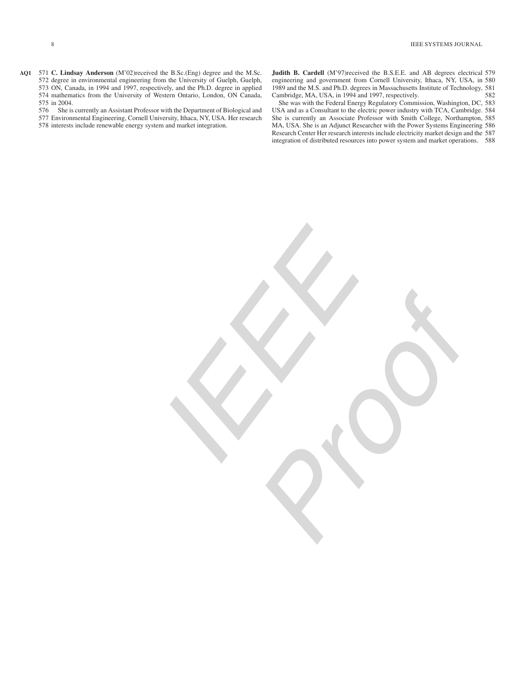- **AQ1** 571 **C. Lindsay Anderson** (M'02)received the B.Sc.(Eng) degree and the M.Sc. 572 degree in environmental engineering from the University of Guelph, Guelph, 573 ON, Canada, in 1994 and 1997, respectively, and the Ph.D. degree in applied 574 mathematics from the University of Western Ontario, London, ON Canada, 575 in 2004.
	- 576 She is currently an Assistant Professor with the Department of Biological and 577 Environmental Engineering, Cornell University, Ithaca, NY, USA. Her research
	- 578 interests include renewable energy system and market integration.

**Judith B. Cardell** (M'97)received the B.S.E.E. and AB degrees electrical 579 engineering and government from Cornell University, Ithaca, NY, USA, in 580 1989 and the M.S. and Ph.D. degrees in Massachusetts Institute of Technology, 581 Cambridge, MA, USA, in 1994 and 1997, respectively. 582

She was with the Federal Energy Regulatory Commission, Washington, DC, 583 USA and as a Consultant to the electric power industry with TCA, Cambridge. 584 She is currently an Associate Professor with Smith College, Northampton, 585 MA, USA. She is an Adjunct Researcher with the Power Systems Engineering 586 Research Center Her research interests include electricity market design and the 587 integration of distributed resources into power system and market operations. 588